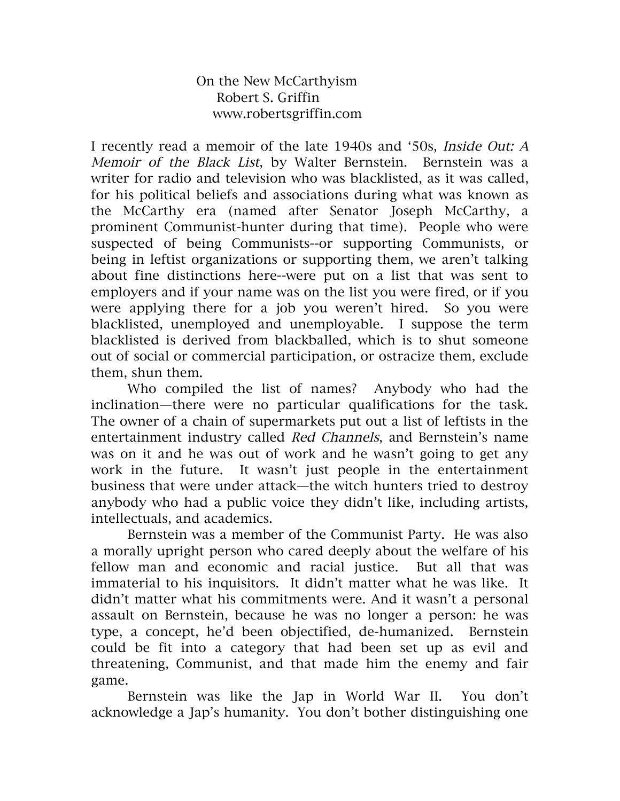On the New McCarthyism Robert S. Griffin www.robertsgriffin.com

I recently read a memoir of the late 1940s and '50s, Inside Out: A Memoir of the Black List, by Walter Bernstein. Bernstein was a writer for radio and television who was blacklisted, as it was called, for his political beliefs and associations during what was known as the McCarthy era (named after Senator Joseph McCarthy, a prominent Communist-hunter during that time). People who were suspected of being Communists--or supporting Communists, or being in leftist organizations or supporting them, we aren't talking about fine distinctions here--were put on a list that was sent to employers and if your name was on the list you were fired, or if you were applying there for a job you weren't hired. So you were blacklisted, unemployed and unemployable. I suppose the term blacklisted is derived from blackballed, which is to shut someone out of social or commercial participation, or ostracize them, exclude them, shun them.

Who compiled the list of names? Anybody who had the inclination—there were no particular qualifications for the task. The owner of a chain of supermarkets put out a list of leftists in the entertainment industry called Red Channels, and Bernstein's name was on it and he was out of work and he wasn't going to get any work in the future. It wasn't just people in the entertainment business that were under attack—the witch hunters tried to destroy anybody who had a public voice they didn't like, including artists, intellectuals, and academics.

Bernstein was a member of the Communist Party. He was also a morally upright person who cared deeply about the welfare of his fellow man and economic and racial justice. But all that was immaterial to his inquisitors. It didn't matter what he was like. It didn't matter what his commitments were. And it wasn't a personal assault on Bernstein, because he was no longer a person: he was type, a concept, he'd been objectified, de-humanized. Bernstein could be fit into a category that had been set up as evil and threatening, Communist, and that made him the enemy and fair game.

Bernstein was like the Jap in World War II. You don't acknowledge a Jap's humanity. You don't bother distinguishing one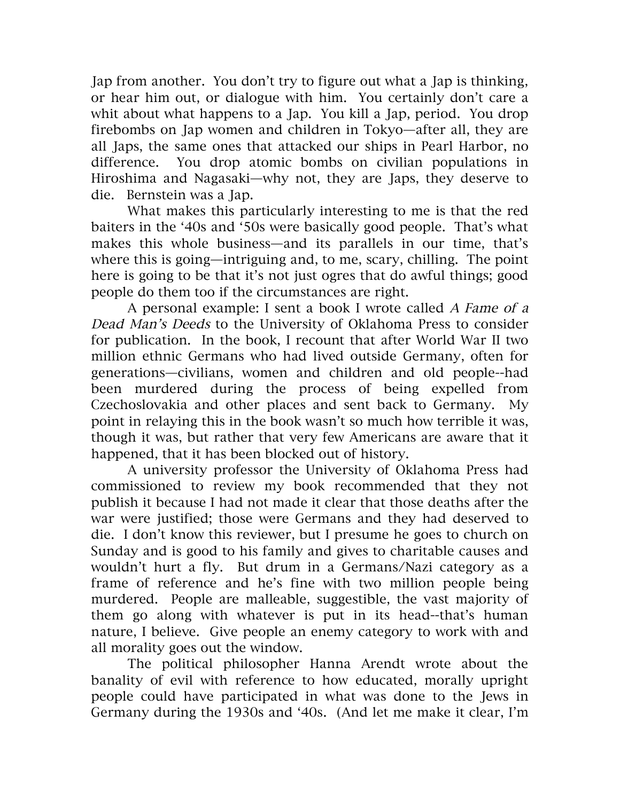Jap from another. You don't try to figure out what a Jap is thinking, or hear him out, or dialogue with him. You certainly don't care a whit about what happens to a Jap. You kill a Jap, period. You drop firebombs on Jap women and children in Tokyo—after all, they are all Japs, the same ones that attacked our ships in Pearl Harbor, no difference. You drop atomic bombs on civilian populations in Hiroshima and Nagasaki—why not, they are Japs, they deserve to die. Bernstein was a Jap.

What makes this particularly interesting to me is that the red baiters in the '40s and '50s were basically good people. That's what makes this whole business—and its parallels in our time, that's where this is going—intriguing and, to me, scary, chilling. The point here is going to be that it's not just ogres that do awful things; good people do them too if the circumstances are right.

A personal example: I sent a book I wrote called A Fame of <sup>a</sup> Dead Man's Deeds to the University of Oklahoma Press to consider for publication. In the book, I recount that after World War II two million ethnic Germans who had lived outside Germany, often for generations—civilians, women and children and old people--had been murdered during the process of being expelled from Czechoslovakia and other places and sent back to Germany. My point in relaying this in the book wasn't so much how terrible it was, though it was, but rather that very few Americans are aware that it happened, that it has been blocked out of history.

A university professor the University of Oklahoma Press had commissioned to review my book recommended that they not publish it because I had not made it clear that those deaths after the war were justified; those were Germans and they had deserved to die. I don't know this reviewer, but I presume he goes to church on Sunday and is good to his family and gives to charitable causes and wouldn't hurt a fly. But drum in a Germans/Nazi category as a frame of reference and he's fine with two million people being murdered. People are malleable, suggestible, the vast majority of them go along with whatever is put in its head--that's human nature, I believe. Give people an enemy category to work with and all morality goes out the window.

The political philosopher Hanna Arendt wrote about the banality of evil with reference to how educated, morally upright people could have participated in what was done to the Jews in Germany during the 1930s and '40s. (And let me make it clear, I'm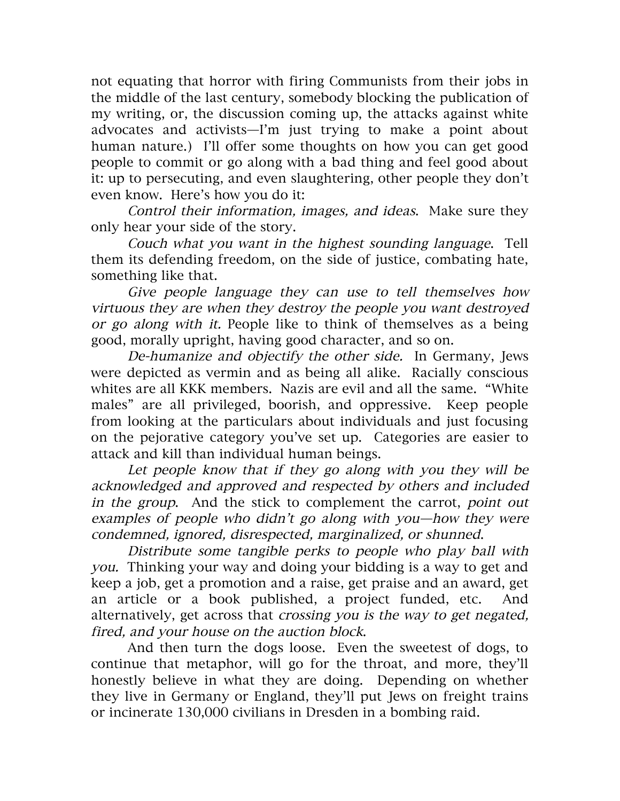not equating that horror with firing Communists from their jobs in the middle of the last century, somebody blocking the publication of my writing, or, the discussion coming up, the attacks against white advocates and activists—I'm just trying to make a point about human nature.) I'll offer some thoughts on how you can get good people to commit or go along with a bad thing and feel good about it: up to persecuting, and even slaughtering, other people they don't even know. Here's how you do it:

Control their information, images, and ideas. Make sure they only hear your side of the story.

Couch what you want in the highest sounding language. Tell them its defending freedom, on the side of justice, combating hate, something like that.

Give people language they can use to tell themselves how virtuous they are when they destroy the people you want destroyed or go along with it. People like to think of themselves as a being good, morally upright, having good character, and so on.

De-humanize and objectify the other side. In Germany, Jews were depicted as vermin and as being all alike. Racially conscious whites are all KKK members. Nazis are evil and all the same. "White males" are all privileged, boorish, and oppressive. Keep people from looking at the particulars about individuals and just focusing on the pejorative category you've set up. Categories are easier to attack and kill than individual human beings.

Let people know that if they go along with you they will be acknowledged and approved and respected by others and included in the group. And the stick to complement the carrot, point out examples of people who didn't go along with you—how they were condemned, ignored, disrespected, marginalized, or shunned.

Distribute some tangible perks to people who play ball with you. Thinking your way and doing your bidding is a way to get and keep a job, get a promotion and a raise, get praise and an award, get an article or a book published, a project funded, etc. And alternatively, get across that crossing you is the way to get negated, fired, and your house on the auction block.

And then turn the dogs loose. Even the sweetest of dogs, to continue that metaphor, will go for the throat, and more, they'll honestly believe in what they are doing. Depending on whether they live in Germany or England, they'll put Jews on freight trains or incinerate 130,000 civilians in Dresden in a bombing raid.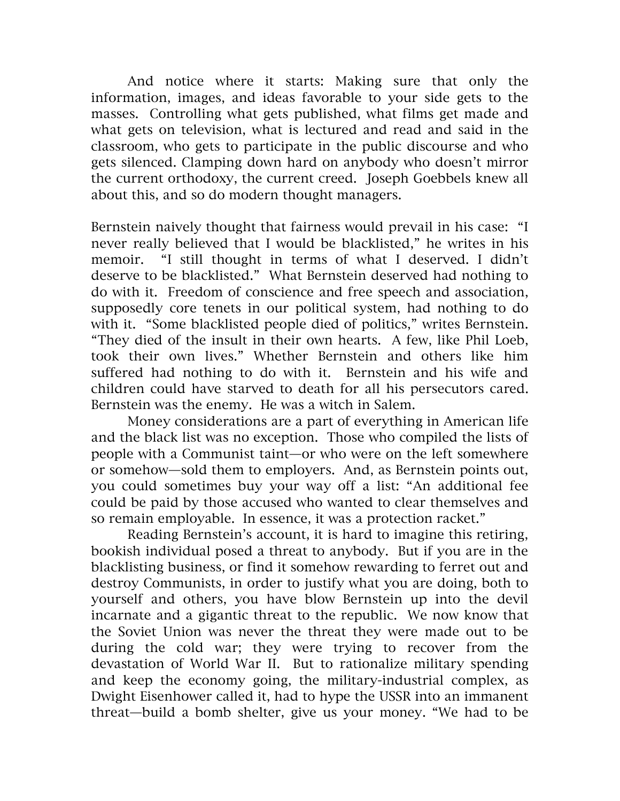And notice where it starts: Making sure that only the information, images, and ideas favorable to your side gets to the masses. Controlling what gets published, what films get made and what gets on television, what is lectured and read and said in the classroom, who gets to participate in the public discourse and who gets silenced. Clamping down hard on anybody who doesn't mirror the current orthodoxy, the current creed. Joseph Goebbels knew all about this, and so do modern thought managers.

Bernstein naively thought that fairness would prevail in his case: "I never really believed that I would be blacklisted," he writes in his memoir. "I still thought in terms of what I deserved. I didn't deserve to be blacklisted." What Bernstein deserved had nothing to do with it. Freedom of conscience and free speech and association, supposedly core tenets in our political system, had nothing to do with it. "Some blacklisted people died of politics," writes Bernstein. "They died of the insult in their own hearts. A few, like Phil Loeb, took their own lives." Whether Bernstein and others like him suffered had nothing to do with it. Bernstein and his wife and children could have starved to death for all his persecutors cared. Bernstein was the enemy. He was a witch in Salem.

Money considerations are a part of everything in American life and the black list was no exception. Those who compiled the lists of people with a Communist taint—or who were on the left somewhere or somehow—sold them to employers. And, as Bernstein points out, you could sometimes buy your way off a list: "An additional fee could be paid by those accused who wanted to clear themselves and so remain employable. In essence, it was a protection racket."

Reading Bernstein's account, it is hard to imagine this retiring, bookish individual posed a threat to anybody. But if you are in the blacklisting business, or find it somehow rewarding to ferret out and destroy Communists, in order to justify what you are doing, both to yourself and others, you have blow Bernstein up into the devil incarnate and a gigantic threat to the republic. We now know that the Soviet Union was never the threat they were made out to be during the cold war; they were trying to recover from the devastation of World War II. But to rationalize military spending and keep the economy going, the military-industrial complex, as Dwight Eisenhower called it, had to hype the USSR into an immanent threat—build a bomb shelter, give us your money. "We had to be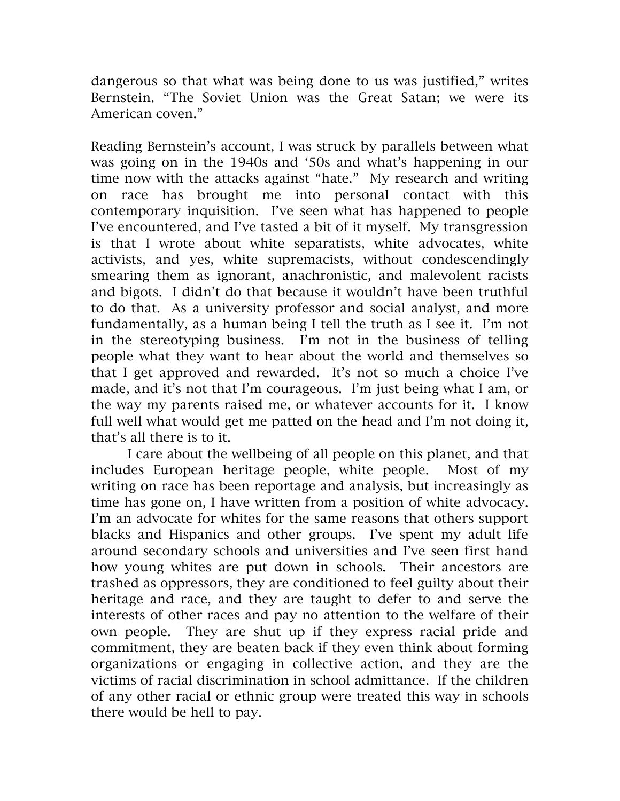dangerous so that what was being done to us was justified," writes Bernstein. "The Soviet Union was the Great Satan; we were its American coven."

Reading Bernstein's account, I was struck by parallels between what was going on in the 1940s and '50s and what's happening in our time now with the attacks against "hate." My research and writing on race has brought me into personal contact with this contemporary inquisition. I've seen what has happened to people I've encountered, and I've tasted a bit of it myself. My transgression is that I wrote about white separatists, white advocates, white activists, and yes, white supremacists, without condescendingly smearing them as ignorant, anachronistic, and malevolent racists and bigots. I didn't do that because it wouldn't have been truthful to do that. As a university professor and social analyst, and more fundamentally, as a human being I tell the truth as I see it. I'm not in the stereotyping business. I'm not in the business of telling people what they want to hear about the world and themselves so that I get approved and rewarded. It's not so much a choice I've made, and it's not that I'm courageous. I'm just being what I am, or the way my parents raised me, or whatever accounts for it. I know full well what would get me patted on the head and I'm not doing it, that's all there is to it.

I care about the wellbeing of all people on this planet, and that includes European heritage people, white people. Most of my writing on race has been reportage and analysis, but increasingly as time has gone on, I have written from a position of white advocacy. I'm an advocate for whites for the same reasons that others support blacks and Hispanics and other groups. I've spent my adult life around secondary schools and universities and I've seen first hand how young whites are put down in schools. Their ancestors are trashed as oppressors, they are conditioned to feel guilty about their heritage and race, and they are taught to defer to and serve the interests of other races and pay no attention to the welfare of their own people. They are shut up if they express racial pride and commitment, they are beaten back if they even think about forming organizations or engaging in collective action, and they are the victims of racial discrimination in school admittance. If the children of any other racial or ethnic group were treated this way in schools there would be hell to pay.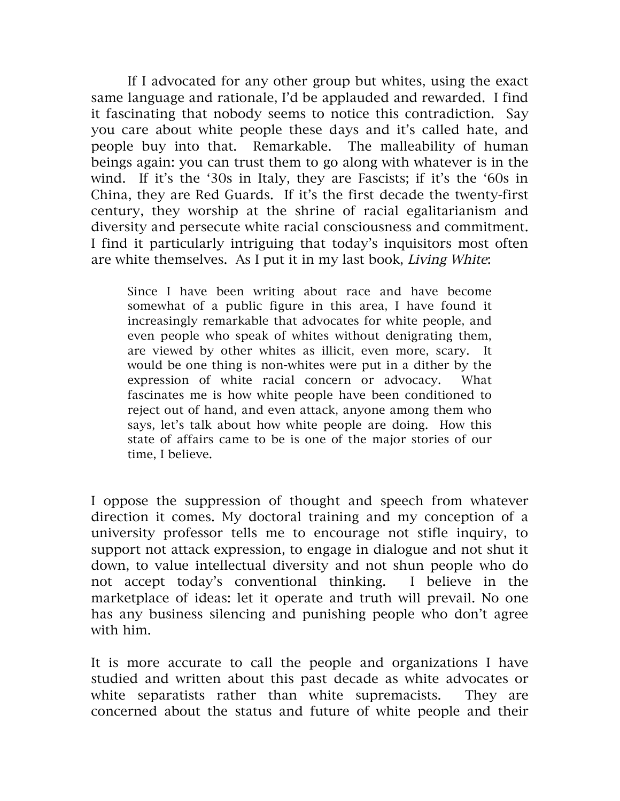If I advocated for any other group but whites, using the exact same language and rationale, I'd be applauded and rewarded. I find it fascinating that nobody seems to notice this contradiction. Say you care about white people these days and it's called hate, and people buy into that. Remarkable. The malleability of human beings again: you can trust them to go along with whatever is in the wind. If it's the '30s in Italy, they are Fascists; if it's the '60s in China, they are Red Guards. If it's the first decade the twenty-first century, they worship at the shrine of racial egalitarianism and diversity and persecute white racial consciousness and commitment. I find it particularly intriguing that today's inquisitors most often are white themselves. As I put it in my last book, Living White:

Since I have been writing about race and have become somewhat of a public figure in this area, I have found it increasingly remarkable that advocates for white people, and even people who speak of whites without denigrating them, are viewed by other whites as illicit, even more, scary. It would be one thing is non-whites were put in a dither by the expression of white racial concern or advocacy. What fascinates me is how white people have been conditioned to reject out of hand, and even attack, anyone among them who says, let's talk about how white people are doing. How this state of affairs came to be is one of the major stories of our time, I believe.

I oppose the suppression of thought and speech from whatever direction it comes. My doctoral training and my conception of a university professor tells me to encourage not stifle inquiry, to support not attack expression, to engage in dialogue and not shut it down, to value intellectual diversity and not shun people who do not accept today's conventional thinking. I believe in the marketplace of ideas: let it operate and truth will prevail. No one has any business silencing and punishing people who don't agree with him.

It is more accurate to call the people and organizations I have studied and written about this past decade as white advocates or white separatists rather than white supremacists. They are concerned about the status and future of white people and their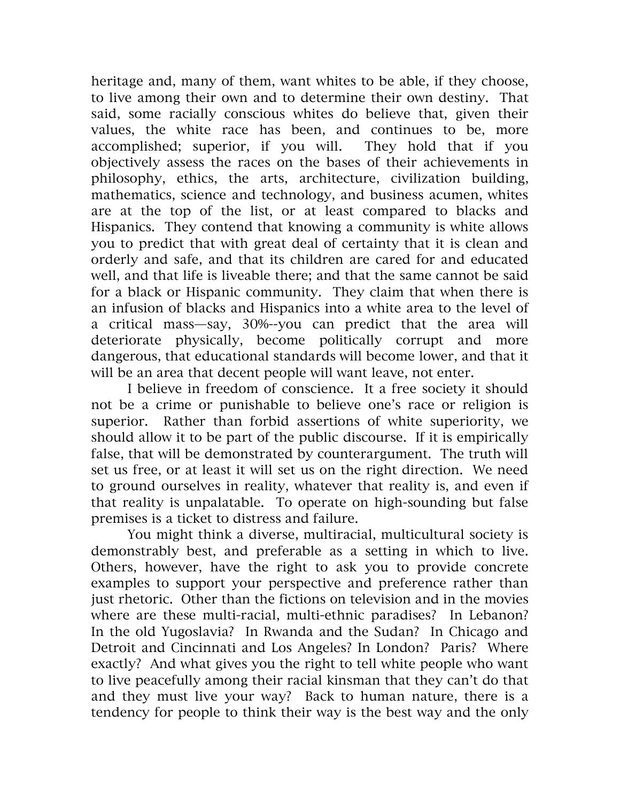heritage and, many of them, want whites to be able, if they choose, to live among their own and to determine their own destiny. That said, some racially conscious whites do believe that, given their values, the white race has been, and continues to be, more accomplished; superior, if you will. They hold that if you objectively assess the races on the bases of their achievements in philosophy, ethics, the arts, architecture, civilization building, mathematics, science and technology, and business acumen, whites are at the top of the list, or at least compared to blacks and Hispanics. They contend that knowing a community is white allows you to predict that with great deal of certainty that it is clean and orderly and safe, and that its children are cared for and educated well, and that life is liveable there; and that the same cannot be said for a black or Hispanic community. They claim that when there is an infusion of blacks and Hispanics into a white area to the level of a critical mass—say, 30%--you can predict that the area will deteriorate physically, become politically corrupt and more dangerous, that educational standards will become lower, and that it will be an area that decent people will want leave, not enter.

I believe in freedom of conscience. It a free society it should not be a crime or punishable to believe one's race or religion is superior. Rather than forbid assertions of white superiority, we should allow it to be part of the public discourse. If it is empirically false, that will be demonstrated by counterargument. The truth will set us free, or at least it will set us on the right direction. We need to ground ourselves in reality, whatever that reality is, and even if that reality is unpalatable. To operate on high-sounding but false premises is a ticket to distress and failure.

You might think a diverse, multiracial, multicultural society is demonstrably best, and preferable as a setting in which to live. Others, however, have the right to ask you to provide concrete examples to support your perspective and preference rather than just rhetoric. Other than the fictions on television and in the movies where are these multi-racial, multi-ethnic paradises? In Lebanon? In the old Yugoslavia? In Rwanda and the Sudan? In Chicago and Detroit and Cincinnati and Los Angeles? In London? Paris? Where exactly? And what gives you the right to tell white people who want to live peacefully among their racial kinsman that they can't do that and they must live your way? Back to human nature, there is a tendency for people to think their way is the best way and the only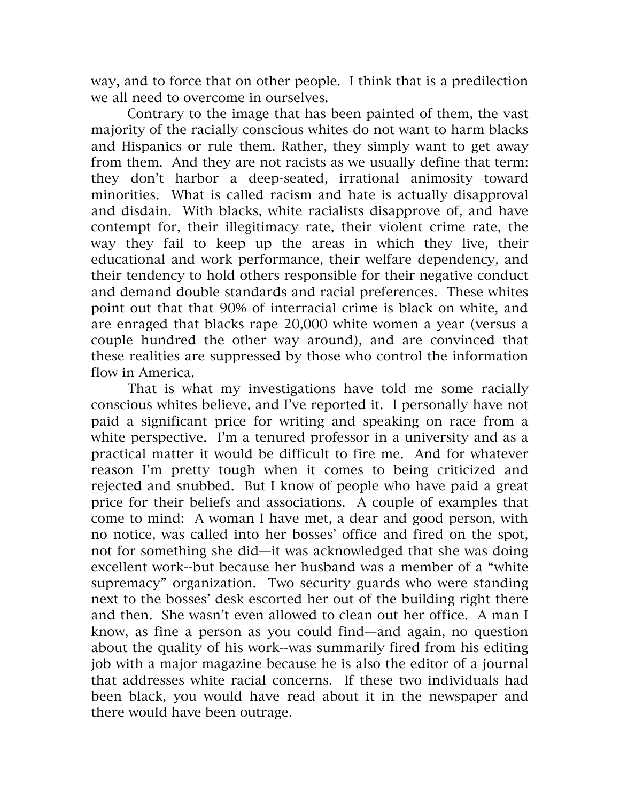way, and to force that on other people. I think that is a predilection we all need to overcome in ourselves.

Contrary to the image that has been painted of them, the vast majority of the racially conscious whites do not want to harm blacks and Hispanics or rule them. Rather, they simply want to get away from them. And they are not racists as we usually define that term: they don't harbor a deep-seated, irrational animosity toward minorities. What is called racism and hate is actually disapproval and disdain. With blacks, white racialists disapprove of, and have contempt for, their illegitimacy rate, their violent crime rate, the way they fail to keep up the areas in which they live, their educational and work performance, their welfare dependency, and their tendency to hold others responsible for their negative conduct and demand double standards and racial preferences. These whites point out that that 90% of interracial crime is black on white, and are enraged that blacks rape 20,000 white women a year (versus a couple hundred the other way around), and are convinced that these realities are suppressed by those who control the information flow in America.

That is what my investigations have told me some racially conscious whites believe, and I've reported it. I personally have not paid a significant price for writing and speaking on race from a white perspective. I'm a tenured professor in a university and as a practical matter it would be difficult to fire me. And for whatever reason I'm pretty tough when it comes to being criticized and rejected and snubbed. But I know of people who have paid a great price for their beliefs and associations. A couple of examples that come to mind: A woman I have met, a dear and good person, with no notice, was called into her bosses' office and fired on the spot, not for something she did—it was acknowledged that she was doing excellent work--but because her husband was a member of a "white supremacy" organization. Two security guards who were standing next to the bosses' desk escorted her out of the building right there and then. She wasn't even allowed to clean out her office. A man I know, as fine a person as you could find—and again, no question about the quality of his work--was summarily fired from his editing job with a major magazine because he is also the editor of a journal that addresses white racial concerns. If these two individuals had been black, you would have read about it in the newspaper and there would have been outrage.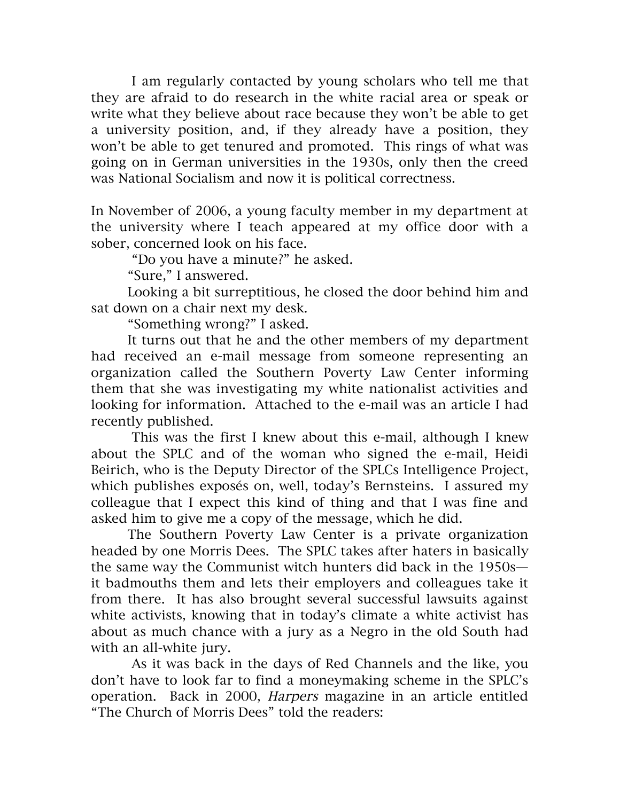I am regularly contacted by young scholars who tell me that they are afraid to do research in the white racial area or speak or write what they believe about race because they won't be able to get a university position, and, if they already have a position, they won't be able to get tenured and promoted. This rings of what was going on in German universities in the 1930s, only then the creed was National Socialism and now it is political correctness.

In November of 2006, a young faculty member in my department at the university where I teach appeared at my office door with a sober, concerned look on his face.

"Do you have a minute?" he asked.

"Sure," I answered.

Looking a bit surreptitious, he closed the door behind him and sat down on a chair next my desk.

"Something wrong?" I asked.

It turns out that he and the other members of my department had received an e-mail message from someone representing an organization called the Southern Poverty Law Center informing them that she was investigating my white nationalist activities and looking for information. Attached to the e-mail was an article I had recently published.

This was the first I knew about this e-mail, although I knew about the SPLC and of the woman who signed the e-mail, Heidi Beirich, who is the Deputy Director of the SPLCs Intelligence Project, which publishes exposés on, well, today's Bernsteins. I assured my colleague that I expect this kind of thing and that I was fine and asked him to give me a copy of the message, which he did.

The Southern Poverty Law Center is a private organization headed by one Morris Dees. The SPLC takes after haters in basically the same way the Communist witch hunters did back in the 1950s it badmouths them and lets their employers and colleagues take it from there. It has also brought several successful lawsuits against white activists, knowing that in today's climate a white activist has about as much chance with a jury as a Negro in the old South had with an all-white jury.

As it was back in the days of Red Channels and the like, you don't have to look far to find a moneymaking scheme in the SPLC's operation. Back in 2000, Harpers magazine in an article entitled "The Church of Morris Dees" told the readers: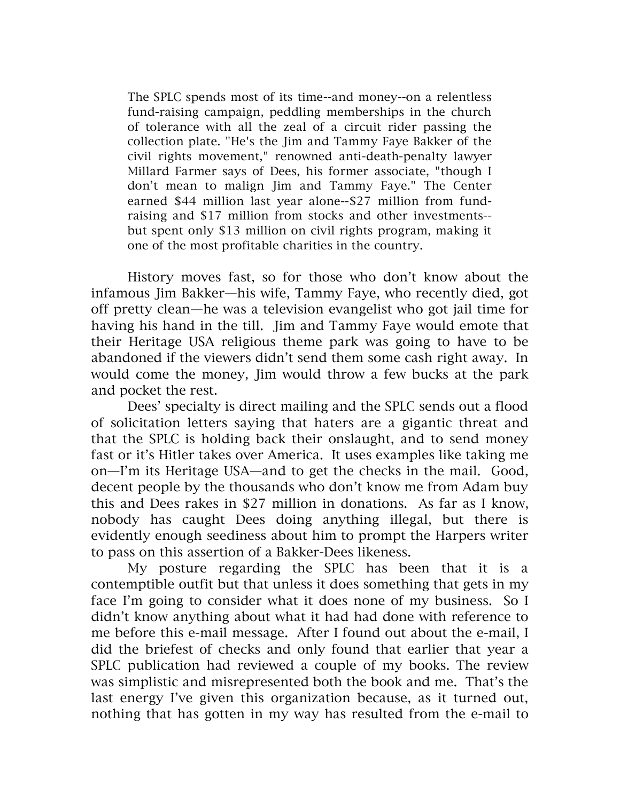The SPLC spends most of its time--and money--on a relentless fund-raising campaign, peddling memberships in the church of tolerance with all the zeal of a circuit rider passing the collection plate. "He's the Jim and Tammy Faye Bakker of the civil rights movement," renowned anti-death-penalty lawyer Millard Farmer says of Dees, his former associate, "though I don't mean to malign Jim and Tammy Faye." The Center earned \$44 million last year alone--\$27 million from fundraising and \$17 million from stocks and other investments- but spent only \$13 million on civil rights program, making it one of the most profitable charities in the country.

History moves fast, so for those who don't know about the infamous Jim Bakker—his wife, Tammy Faye, who recently died, got off pretty clean—he was a television evangelist who got jail time for having his hand in the till. Jim and Tammy Faye would emote that their Heritage USA religious theme park was going to have to be abandoned if the viewers didn't send them some cash right away. In would come the money, Jim would throw a few bucks at the park and pocket the rest.

Dees' specialty is direct mailing and the SPLC sends out a flood of solicitation letters saying that haters are a gigantic threat and that the SPLC is holding back their onslaught, and to send money fast or it's Hitler takes over America. It uses examples like taking me on—I'm its Heritage USA—and to get the checks in the mail. Good, decent people by the thousands who don't know me from Adam buy this and Dees rakes in \$27 million in donations. As far as I know, nobody has caught Dees doing anything illegal, but there is evidently enough seediness about him to prompt the Harpers writer to pass on this assertion of a Bakker-Dees likeness.

My posture regarding the SPLC has been that it is a contemptible outfit but that unless it does something that gets in my face I'm going to consider what it does none of my business. So I didn't know anything about what it had had done with reference to me before this e-mail message. After I found out about the e-mail, I did the briefest of checks and only found that earlier that year a SPLC publication had reviewed a couple of my books. The review was simplistic and misrepresented both the book and me. That's the last energy I've given this organization because, as it turned out, nothing that has gotten in my way has resulted from the e-mail to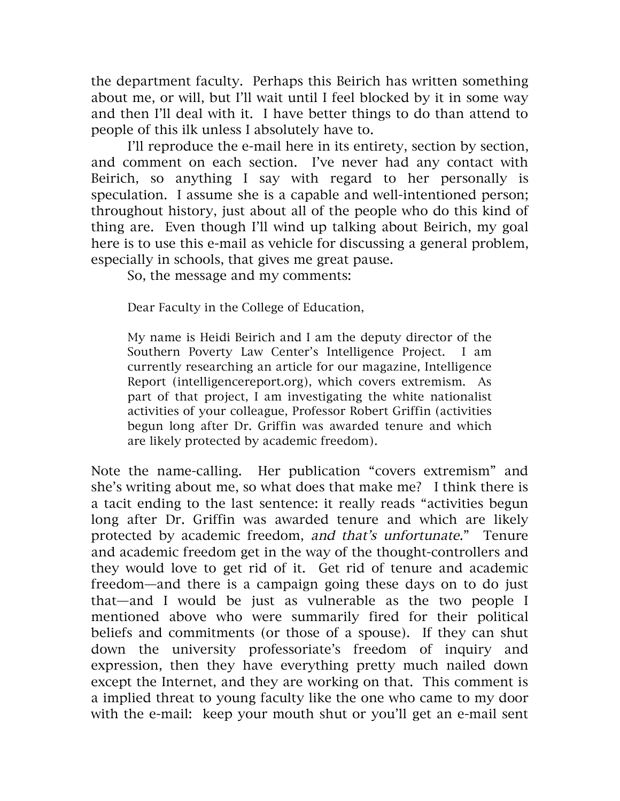the department faculty. Perhaps this Beirich has written something about me, or will, but I'll wait until I feel blocked by it in some way and then I'll deal with it. I have better things to do than attend to people of this ilk unless I absolutely have to.

I'll reproduce the e-mail here in its entirety, section by section, and comment on each section. I've never had any contact with Beirich, so anything I say with regard to her personally is speculation. I assume she is a capable and well-intentioned person; throughout history, just about all of the people who do this kind of thing are. Even though I'll wind up talking about Beirich, my goal here is to use this e-mail as vehicle for discussing a general problem, especially in schools, that gives me great pause.

So, the message and my comments:

Dear Faculty in the College of Education,

My name is Heidi Beirich and I am the deputy director of the Southern Poverty Law Center's Intelligence Project. I am currently researching an article for our magazine, Intelligence Report (intelligencereport.org), which covers extremism. As part of that project, I am investigating the white nationalist activities of your colleague, Professor Robert Griffin (activities begun long after Dr. Griffin was awarded tenure and which are likely protected by academic freedom).

Note the name-calling. Her publication "covers extremism" and she's writing about me, so what does that make me? I think there is a tacit ending to the last sentence: it really reads "activities begun long after Dr. Griffin was awarded tenure and which are likely protected by academic freedom, and that's unfortunate." Tenure and academic freedom get in the way of the thought-controllers and they would love to get rid of it. Get rid of tenure and academic freedom—and there is a campaign going these days on to do just that—and I would be just as vulnerable as the two people I mentioned above who were summarily fired for their political beliefs and commitments (or those of a spouse). If they can shut down the university professoriate's freedom of inquiry and expression, then they have everything pretty much nailed down except the Internet, and they are working on that. This comment is a implied threat to young faculty like the one who came to my door with the e-mail: keep your mouth shut or you'll get an e-mail sent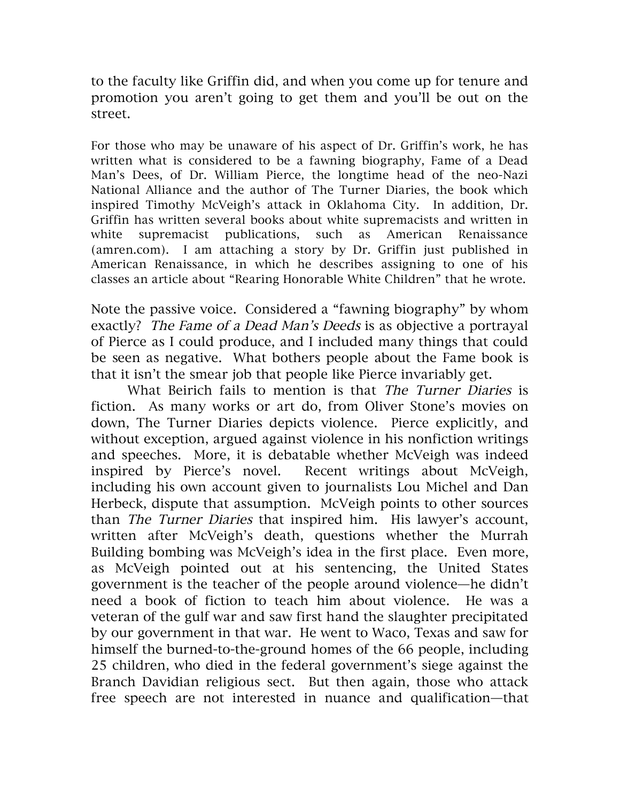to the faculty like Griffin did, and when you come up for tenure and promotion you aren't going to get them and you'll be out on the street.

For those who may be unaware of his aspect of Dr. Griffin's work, he has written what is considered to be a fawning biography, Fame of a Dead Man's Dees, of Dr. William Pierce, the longtime head of the neo-Nazi National Alliance and the author of The Turner Diaries, the book which inspired Timothy McVeigh's attack in Oklahoma City. In addition, Dr. Griffin has written several books about white supremacists and written in white supremacist publications, such as American Renaissance (amren.com). I am attaching a story by Dr. Griffin just published in American Renaissance, in which he describes assigning to one of his classes an article about "Rearing Honorable White Children" that he wrote.

Note the passive voice. Considered a "fawning biography" by whom exactly? The Fame of a Dead Man's Deeds is as objective a portrayal of Pierce as I could produce, and I included many things that could be seen as negative. What bothers people about the Fame book is that it isn't the smear job that people like Pierce invariably get.

What Beirich fails to mention is that The Turner Diaries is fiction. As many works or art do, from Oliver Stone's movies on down, The Turner Diaries depicts violence. Pierce explicitly, and without exception, argued against violence in his nonfiction writings and speeches. More, it is debatable whether McVeigh was indeed inspired by Pierce's novel. Recent writings about McVeigh, including his own account given to journalists Lou Michel and Dan Herbeck, dispute that assumption. McVeigh points to other sources than The Turner Diaries that inspired him. His lawyer's account, written after McVeigh's death, questions whether the Murrah Building bombing was McVeigh's idea in the first place. Even more, as McVeigh pointed out at his sentencing, the United States government is the teacher of the people around violence—he didn't need a book of fiction to teach him about violence. He was a veteran of the gulf war and saw first hand the slaughter precipitated by our government in that war. He went to Waco, Texas and saw for himself the burned-to-the-ground homes of the 66 people, including 25 children, who died in the federal government's siege against the Branch Davidian religious sect. But then again, those who attack free speech are not interested in nuance and qualification—that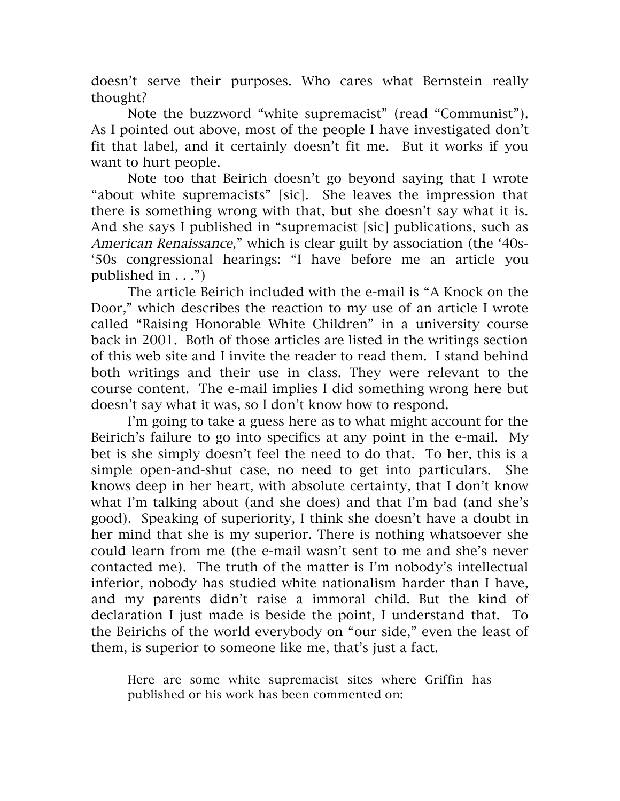doesn't serve their purposes. Who cares what Bernstein really thought?

Note the buzzword "white supremacist" (read "Communist"). As I pointed out above, most of the people I have investigated don't fit that label, and it certainly doesn't fit me. But it works if you want to hurt people.

Note too that Beirich doesn't go beyond saying that I wrote "about white supremacists" [sic]. She leaves the impression that there is something wrong with that, but she doesn't say what it is. And she says I published in "supremacist [sic] publications, such as American Renaissance," which is clear guilt by association (the '40s-'50s congressional hearings: "I have before me an article you published in  $\dots$ ")

The article Beirich included with the e-mail is "A Knock on the Door," which describes the reaction to my use of an article I wrote called "Raising Honorable White Children" in a university course back in 2001. Both of those articles are listed in the writings section of this web site and I invite the reader to read them. I stand behind both writings and their use in class. They were relevant to the course content. The e-mail implies I did something wrong here but doesn't say what it was, so I don't know how to respond.

I'm going to take a guess here as to what might account for the Beirich's failure to go into specifics at any point in the e-mail. My bet is she simply doesn't feel the need to do that. To her, this is a simple open-and-shut case, no need to get into particulars. She knows deep in her heart, with absolute certainty, that I don't know what I'm talking about (and she does) and that I'm bad (and she's good). Speaking of superiority, I think she doesn't have a doubt in her mind that she is my superior. There is nothing whatsoever she could learn from me (the e-mail wasn't sent to me and she's never contacted me). The truth of the matter is I'm nobody's intellectual inferior, nobody has studied white nationalism harder than I have, and my parents didn't raise a immoral child. But the kind of declaration I just made is beside the point, I understand that. To the Beirichs of the world everybody on "our side," even the least of them, is superior to someone like me, that's just a fact.

Here are some white supremacist sites where Griffin has published or his work has been commented on: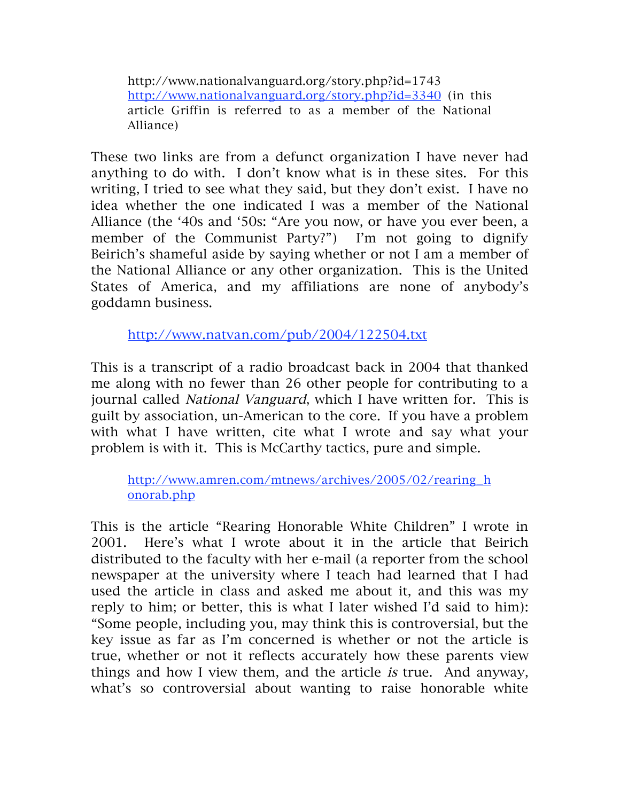http://www.nationalvanguard.org/story.php?id=1743 http://www.nationalvanguard.org/story.php?id=3340 (in this article Griffin is referred to as a member of the National Alliance)

These two links are from a defunct organization I have never had anything to do with. I don't know what is in these sites. For this writing, I tried to see what they said, but they don't exist. I have no idea whether the one indicated I was a member of the National Alliance (the '40s and '50s: "Are you now, or have you ever been, a member of the Communist Party?") I'm not going to dignify Beirich's shameful aside by saying whether or not I am a member of the National Alliance or any other organization. This is the United States of America, and my affiliations are none of anybody's goddamn business.

http://www.natvan.com/pub/2004/122504.txt

This is a transcript of a radio broadcast back in 2004 that thanked me along with no fewer than 26 other people for contributing to a journal called National Vanguard, which I have written for. This is guilt by association, un-American to the core. If you have a problem with what I have written, cite what I wrote and say what your problem is with it. This is McCarthy tactics, pure and simple.

http://www.amren.com/mtnews/archives/2005/02/rearing\_h onorab.php

This is the article "Rearing Honorable White Children" I wrote in 2001. Here's what I wrote about it in the article that Beirich distributed to the faculty with her e-mail (a reporter from the school newspaper at the university where I teach had learned that I had used the article in class and asked me about it, and this was my reply to him; or better, this is what I later wished I'd said to him): "Some people, including you, may think this is controversial, but the key issue as far as I'm concerned is whether or not the article is true, whether or not it reflects accurately how these parents view things and how I view them, and the article is true. And anyway, what's so controversial about wanting to raise honorable white